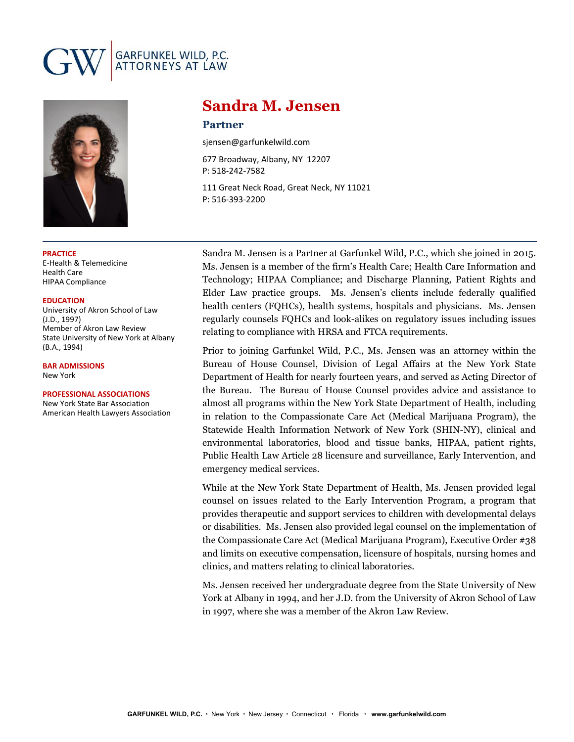# GARFUNKEL WILD, P.C.<br>ATTORNEYS AT LAW



### **PRACTICE**

E-Health & Telemedicine Health Care HIPAA Compliance

**EDUCATION**

University of Akron School of Law (J.D., 1997) Member of Akron Law Review State University of New York at Albany (B.A., 1994)

**BAR ADMISSIONS** New York

### **PROFESSIONAL ASSOCIATIONS**

New York State Bar Association American Health Lawyers Association

# **Sandra M. Jensen**

## **Partner**

sjensen@garfunkelwild.com

677 Broadway, Albany, NY 12207 P: 518-242-7582

111 Great Neck Road, Great Neck, NY 11021 P: 516-393-2200

Sandra M. Jensen is a Partner at Garfunkel Wild, P.C., which she joined in 2015. Ms. Jensen is a member of the firm's Health Care; Health Care Information and Technology; HIPAA Compliance; and Discharge Planning, Patient Rights and Elder Law practice groups. Ms. Jensen's clients include federally qualified health centers (FQHCs), health systems, hospitals and physicians. Ms. Jensen regularly counsels FQHCs and look-alikes on regulatory issues including issues relating to compliance with HRSA and FTCA requirements.

Prior to joining Garfunkel Wild, P.C., Ms. Jensen was an attorney within the Bureau of House Counsel, Division of Legal Affairs at the New York State Department of Health for nearly fourteen years, and served as Acting Director of the Bureau. The Bureau of House Counsel provides advice and assistance to almost all programs within the New York State Department of Health, including in relation to the Compassionate Care Act (Medical Marijuana Program), the Statewide Health Information Network of New York (SHIN-NY), clinical and environmental laboratories, blood and tissue banks, HIPAA, patient rights, Public Health Law Article 28 licensure and surveillance, Early Intervention, and emergency medical services.

While at the New York State Department of Health, Ms. Jensen provided legal counsel on issues related to the Early Intervention Program, a program that provides therapeutic and support services to children with developmental delays or disabilities. Ms. Jensen also provided legal counsel on the implementation of the Compassionate Care Act (Medical Marijuana Program), Executive Order #38 and limits on executive compensation, licensure of hospitals, nursing homes and clinics, and matters relating to clinical laboratories.

Ms. Jensen received her undergraduate degree from the State University of New York at Albany in 1994, and her J.D. from the University of Akron School of Law in 1997, where she was a member of the Akron Law Review.